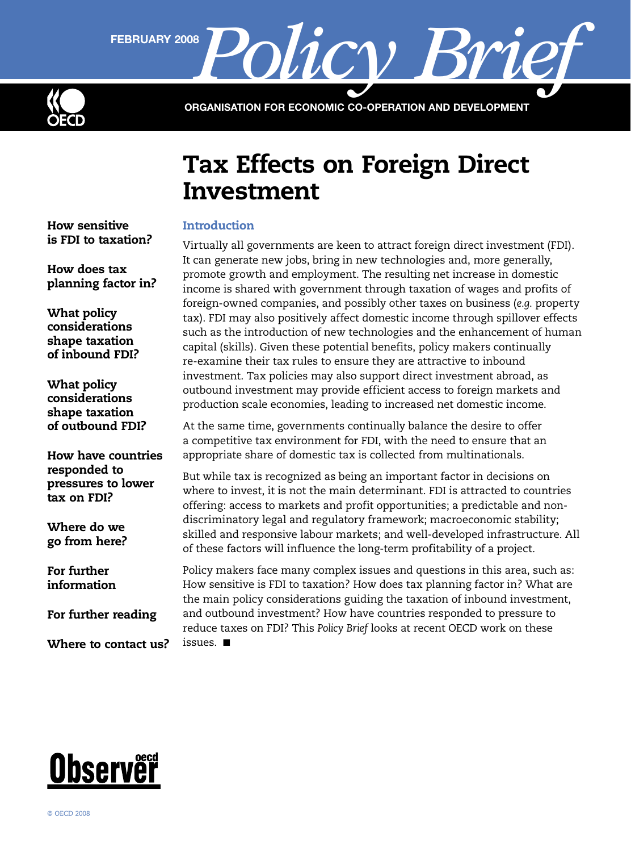

FEBRUARY 2008 **Policy** 

ORGANISATION FOR ECONOMIC CO-OPERATION AND DEVELOPMENT

# Tax Effects on Foreign Direct Investment

# **Introduction**

Virtually all governments are keen to attract foreign direct investment (FDI). It can generate new jobs, bring in new technologies and, more generally, promote growth and employment. The resulting net increase in domestic income is shared with government through taxation of wages and profits of foreign-owned companies, and possibly other taxes on business (*e.g.* property tax). FDI may also positively affect domestic income through spillover effects such as the introduction of new technologies and the enhancement of human capital (skills). Given these potential benefits, policy makers continually re-examine their tax rules to ensure they are attractive to inbound investment. Tax policies may also support direct investment abroad, as outbound investment may provide efficient access to foreign markets and production scale economies, leading to increased net domestic income.

At the same time, governments continually balance the desire to offer a competitive tax environment for FDI, with the need to ensure that an appropriate share of domestic tax is collected from multinationals.

But while tax is recognized as being an important factor in decisions on where to invest, it is not the main determinant. FDI is attracted to countries offering: access to markets and profit opportunities; a predictable and nondiscriminatory legal and regulatory framework; macroeconomic stability; skilled and responsive labour markets; and well-developed infrastructure. All of these factors will influence the long-term profitability of a project.

Policy makers face many complex issues and questions in this area, such as: How sensitive is FDI to taxation? How does tax planning factor in? What are the main policy considerations guiding the taxation of inbound investment, and outbound investment? How have countries responded to pressure to reduce taxes on FDI? This *Policy Brief* looks at recent OECD work on these issues. ■

[How sensitive](#page-1-0)  [is FDI to taxation?](#page-1-0)

[How does tax](#page-2-0)  [planning factor in?](#page-2-0)

[What policy](#page-2-0)  [considerations](#page-2-0)  [shape taxation](#page-2-0)  [of inbound FDI?](#page-2-0)

[What policy](#page-3-0)  [considerations](#page-3-0)  [shape taxation](#page-3-0)  [of outbound FDI?](#page-3-0)

[How have countries](#page-5-0)  [responded to](#page-5-0)  [pressures to lower](#page-5-0)  [tax on FDI?](#page-5-0)

[Where do we](#page-6-0)  [go from here?](#page-6-0)

[For further](#page-6-0)  [information](#page-6-0)

[For further reading](#page-7-0)

[Where to contact us?](#page-7-0)

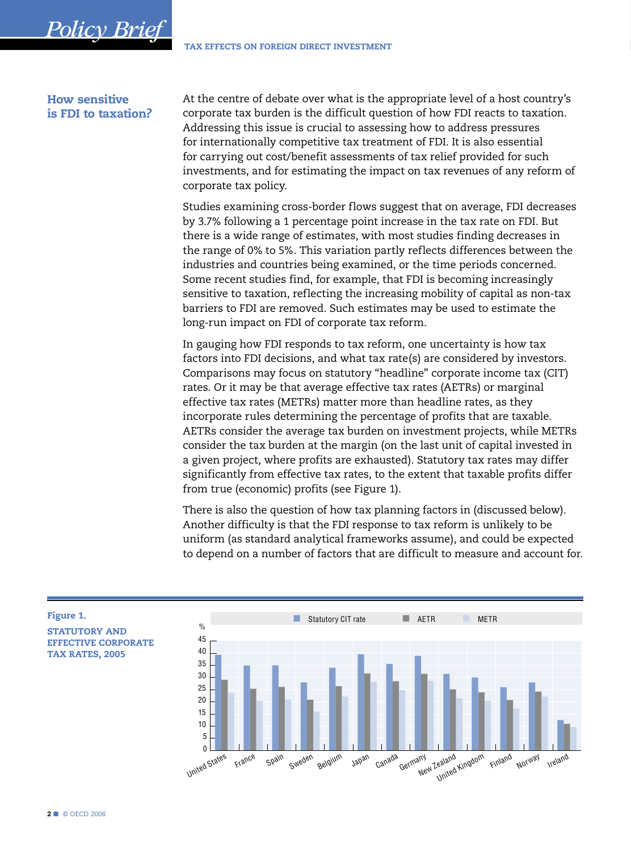#### **How sensitive** is FDI to taxation?

<span id="page-1-0"></span>**Policy Brief** 

At the centre of debate over what is the appropriate level of a host country's corporate tax burden is the difficult question of how FDI reacts to taxation. Addressing this issue is crucial to assessing how to address pressures for internationally competitive tax treatment of FDI. It is also essential for carrying out cost/benefit assessments of tax relief provided for such investments, and for estimating the impact on tax revenues of any reform of corporate tax policy.

Studies examining cross-border flows suggest that on average, FDI decreases by 3.7% following a 1 percentage point increase in the tax rate on FDI. But there is a wide range of estimates, with most studies finding decreases in the range of 0% to 5%. This variation partly reflects differences between the industries and countries being examined, or the time periods concerned. Some recent studies find, for example, that FDI is becoming increasingly sensitive to taxation, reflecting the increasing mobility of capital as non-tax barriers to FDI are removed. Such estimates may be used to estimate the long-run impact on FDI of corporate tax reform.

In gauging how FDI responds to tax reform, one uncertainty is how tax factors into FDI decisions, and what tax rate(s) are considered by investors. Comparisons may focus on statutory "headline" corporate income tax (CIT) rates. Or it may be that average effective tax rates (AETRs) or marginal effective tax rates (METRs) matter more than headline rates, as they incorporate rules determining the percentage of profits that are taxable. AETRs consider the average tax burden on investment projects, while METRs consider the tax burden at the margin (on the last unit of capital invested in a given project, where profits are exhausted). Statutory tax rates may differ significantly from effective tax rates, to the extent that taxable profits differ from true (economic) profits (see Figure 1).

There is also the question of how tax planning factors in (discussed below). Another difficulty is that the FDI response to tax reform is unlikely to be uniform (as standard analytical frameworks assume), and could be expected to depend on a number of factors that are difficult to measure and account for.



Figure 1.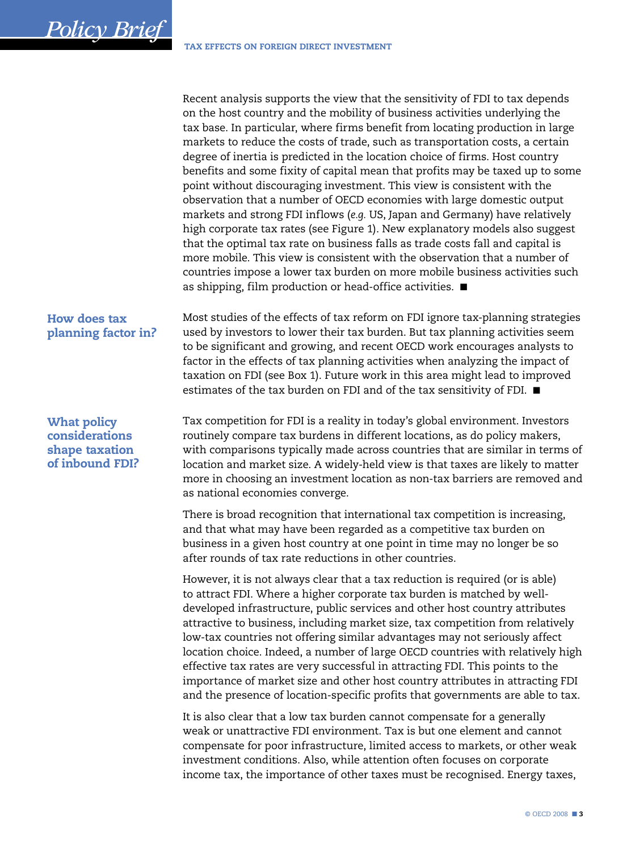Recent analysis supports the view that the sensitivity of FDI to tax depends on the host country and the mobility of business activities underlying the tax base. In particular, where firms benefit from locating production in large markets to reduce the costs of trade, such as transportation costs, a certain degree of inertia is predicted in the location choice of firms. Host country benefits and some fixity of capital mean that profits may be taxed up to some point without discouraging investment. This view is consistent with the observation that a number of OECD economies with large domestic output markets and strong FDI inflows (*e.g.* US, Japan and Germany) have relatively high corporate tax rates (see Figure 1). New explanatory models also suggest that the optimal tax rate on business falls as trade costs fall and capital is more mobile. This view is consistent with the observation that a number of countries impose a lower tax burden on more mobile business activities such as shipping, film production or head-office activities. ■

# How does tax planning factor in?

<span id="page-2-0"></span>*Policy Brief*

Most studies of the effects of tax reform on FDI ignore tax-planning strategies used by investors to lower their tax burden. But tax planning activities seem to be significant and growing, and recent OECD work encourages analysts to factor in the effects of tax planning activities when analyzing the impact of taxation on FDI (see Box 1). Future work in this area might lead to improved estimates of the tax burden on FDI and of the tax sensitivity of FDI. ■

What policy considerations shape taxation of inbound FDI? Tax competition for FDI is a reality in today's global environment. Investors routinely compare tax burdens in different locations, as do policy makers, with comparisons typically made across countries that are similar in terms of location and market size. A widely-held view is that taxes are likely to matter more in choosing an investment location as non-tax barriers are removed and as national economies converge.

There is broad recognition that international tax competition is increasing, and that what may have been regarded as a competitive tax burden on business in a given host country at one point in time may no longer be so after rounds of tax rate reductions in other countries.

However, it is not always clear that a tax reduction is required (or is able) to attract FDI. Where a higher corporate tax burden is matched by welldeveloped infrastructure, public services and other host country attributes attractive to business, including market size, tax competition from relatively low-tax countries not offering similar advantages may not seriously affect location choice. Indeed, a number of large OECD countries with relatively high effective tax rates are very successful in attracting FDI. This points to the importance of market size and other host country attributes in attracting FDI and the presence of location-specific profits that governments are able to tax.

It is also clear that a low tax burden cannot compensate for a generally weak or unattractive FDI environment. Tax is but one element and cannot compensate for poor infrastructure, limited access to markets, or other weak investment conditions. Also, while attention often focuses on corporate income tax, the importance of other taxes must be recognised. Energy taxes,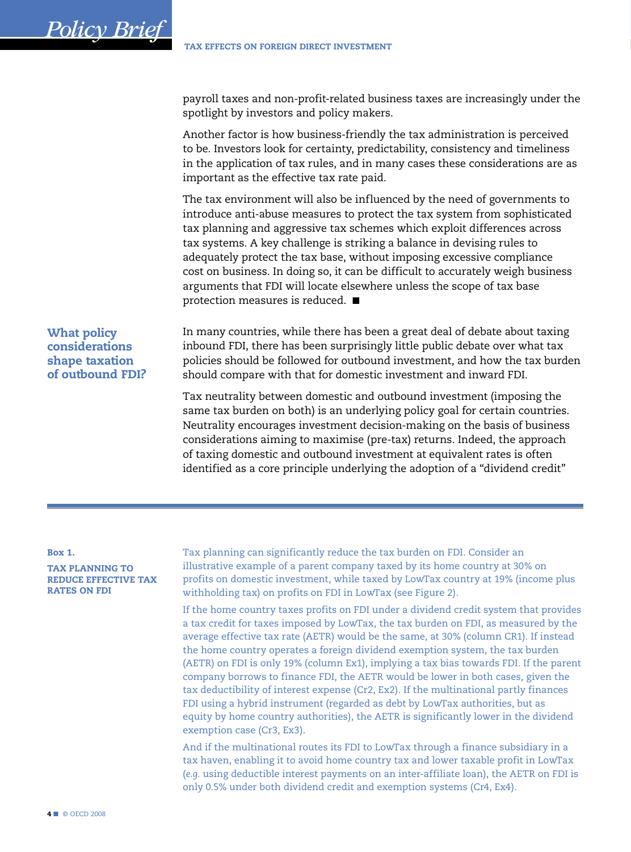payroll taxes and non-profit-related business taxes are increasingly under the spotlight by investors and policy makers.

Another factor is how business-friendly the tax administration is perceived to be. Investors look for certainty, predictability, consistency and timeliness in the application of tax rules, and in many cases these considerations are as important as the effective tax rate paid.

The tax environment will also be influenced by the need of governments to introduce anti-abuse measures to protect the tax system from sophisticated tax planning and aggressive tax schemes which exploit differences across tax systems. A key challenge is striking a balance in devising rules to adequately protect the tax base, without imposing excessive compliance cost on business. In doing so, it can be difficult to accurately weigh business arguments that FDI will locate elsewhere unless the scope of tax base protection measures is reduced. ■

# What policy considerations shape taxation of outbound FDI?

<span id="page-3-0"></span>*Policy Brie* 

In many countries, while there has been a great deal of debate about taxing inbound FDI, there has been surprisingly little public debate over what tax policies should be followed for outbound investment, and how the tax burden should compare with that for domestic investment and inward FDI.

Tax neutrality between domestic and outbound investment (imposing the same tax burden on both) is an underlying policy goal for certain countries. Neutrality encourages investment decision-making on the basis of business considerations aiming to maximise (pre-tax) returns. Indeed, the approach of taxing domestic and outbound investment at equivalent rates is often identified as a core principle underlying the adoption of a "dividend credit"

#### Box 1.

TAX PLANNING TO REDUCE EFFECTIVE TAX RATES ON FDI

Tax planning can significantly reduce the tax burden on FDI. Consider an illustrative example of a parent company taxed by its home country at 30% on profits on domestic investment, while taxed by LowTax country at 19% (income plus withholding tax) on profits on FDI in LowTax (see Figure 2).

If the home country taxes profits on FDI under a dividend credit system that provides a tax credit for taxes imposed by LowTax, the tax burden on FDI, as measured by the average effective tax rate (AETR) would be the same, at 30% (column CR1). If instead the home country operates a foreign dividend exemption system, the tax burden (AETR) on FDI is only 19% (column Ex1), implying a tax bias towards FDI. If the parent company borrows to finance FDI, the AETR would be lower in both cases, given the tax deductibility of interest expense (Cr2, Ex2). If the multinational partly finances FDI using a hybrid instrument (regarded as debt by LowTax authorities, but as equity by home country authorities), the AETR is significantly lower in the dividend exemption case (Cr3, Ex3).

And if the multinational routes its FDI to LowTax through a finance subsidiary in a tax haven, enabling it to avoid home country tax and lower taxable profit in LowTax (*e.g.* using deductible interest payments on an inter-affiliate loan), the AETR on FDI is only 0.5% under both dividend credit and exemption systems (Cr4, Ex4).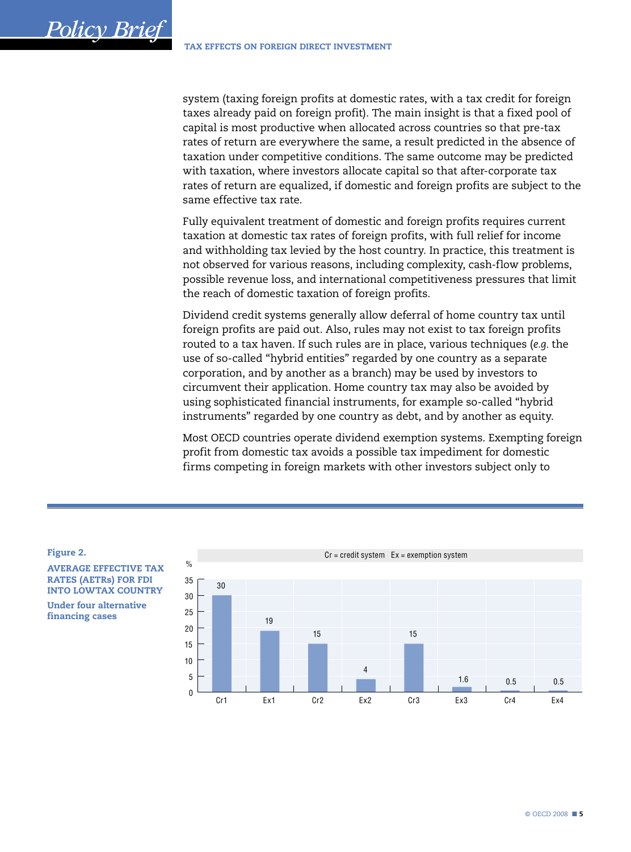system (taxing foreign profits at domestic rates, with a tax credit for foreign taxes already paid on foreign profit). The main insight is that a fixed pool of capital is most productive when allocated across countries so that pre-tax rates of return are everywhere the same, a result predicted in the absence of taxation under competitive conditions. The same outcome may be predicted with taxation, where investors allocate capital so that after-corporate tax rates of return are equalized, if domestic and foreign profits are subject to the same effective tax rate.

Fully equivalent treatment of domestic and foreign profits requires current taxation at domestic tax rates of foreign profits, with full relief for income and withholding tax levied by the host country. In practice, this treatment is not observed for various reasons, including complexity, cash-flow problems, possible revenue loss, and international competitiveness pressures that limit the reach of domestic taxation of foreign profits.

Dividend credit systems generally allow deferral of home country tax until foreign profits are paid out. Also, rules may not exist to tax foreign profits routed to a tax haven. If such rules are in place, various techniques (e.g. the use of so-called "hybrid entities" regarded by one country as a separate corporation, and by another as a branch) may be used by investors to circumvent their application. Home country tax may also be avoided by using sophisticated financial instruments, for example so-called "hybrid instruments" regarded by one country as debt, and by another as equity.

Most OECD countries operate dividend exemption systems. Exempting foreign profit from domestic tax avoids a possible tax impediment for domestic firms competing in foreign markets with other investors subject only to

Figure 2.

**AVERAGE EFFECTIVE TAX RATES (AETRS) FOR FDI INTO LOWTAX COUNTRY Under four alternative** financing cases

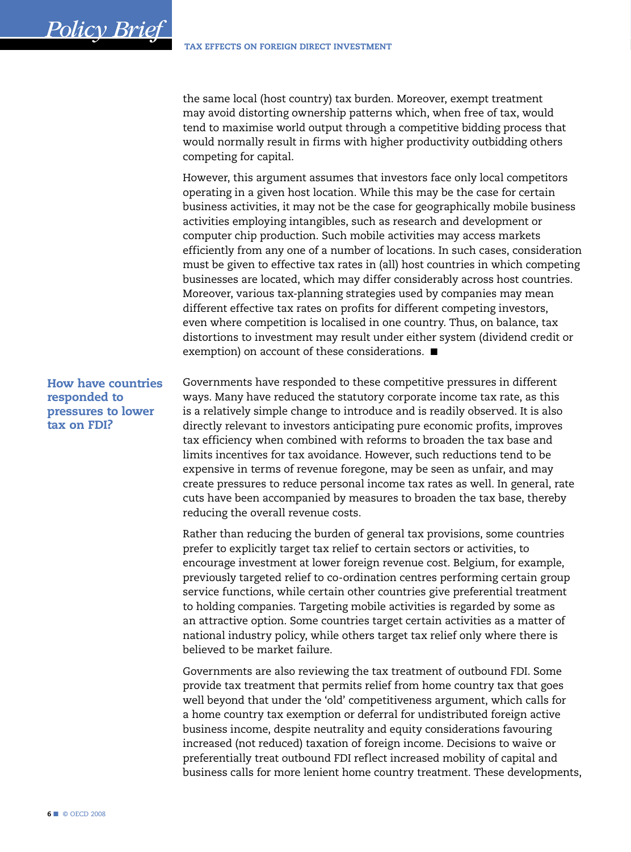the same local (host country) tax burden. Moreover, exempt treatment may avoid distorting ownership patterns which, when free of tax, would tend to maximise world output through a competitive bidding process that would normally result in firms with higher productivity outbidding others competing for capital.

However, this argument assumes that investors face only local competitors operating in a given host location. While this may be the case for certain business activities, it may not be the case for geographically mobile business activities employing intangibles, such as research and development or computer chip production. Such mobile activities may access markets efficiently from any one of a number of locations. In such cases, consideration must be given to effective tax rates in (all) host countries in which competing businesses are located, which may differ considerably across host countries. Moreover, various tax-planning strategies used by companies may mean different effective tax rates on profits for different competing investors, even where competition is localised in one country. Thus, on balance, tax distortions to investment may result under either system (dividend credit or exemption) on account of these considerations. ■

How have countries responded to pressures to lower tax on FDI?

<span id="page-5-0"></span>*Policy Brief*

Governments have responded to these competitive pressures in different ways. Many have reduced the statutory corporate income tax rate, as this is a relatively simple change to introduce and is readily observed. It is also directly relevant to investors anticipating pure economic profits, improves tax efficiency when combined with reforms to broaden the tax base and limits incentives for tax avoidance. However, such reductions tend to be expensive in terms of revenue foregone, may be seen as unfair, and may create pressures to reduce personal income tax rates as well. In general, rate cuts have been accompanied by measures to broaden the tax base, thereby reducing the overall revenue costs.

Rather than reducing the burden of general tax provisions, some countries prefer to explicitly target tax relief to certain sectors or activities, to encourage investment at lower foreign revenue cost. Belgium, for example, previously targeted relief to co-ordination centres performing certain group service functions, while certain other countries give preferential treatment to holding companies. Targeting mobile activities is regarded by some as an attractive option. Some countries target certain activities as a matter of national industry policy, while others target tax relief only where there is believed to be market failure.

Governments are also reviewing the tax treatment of outbound FDI. Some provide tax treatment that permits relief from home country tax that goes well beyond that under the 'old' competitiveness argument, which calls for a home country tax exemption or deferral for undistributed foreign active business income, despite neutrality and equity considerations favouring increased (not reduced) taxation of foreign income. Decisions to waive or preferentially treat outbound FDI reflect increased mobility of capital and business calls for more lenient home country treatment. These developments,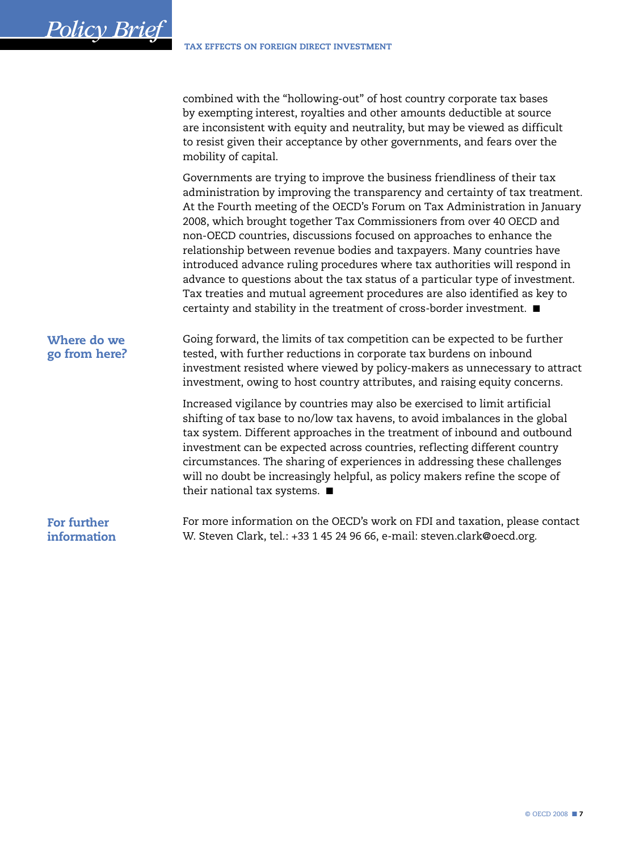combined with the "hollowing-out" of host country corporate tax bases by exempting interest, royalties and other amounts deductible at source are inconsistent with equity and neutrality, but may be viewed as difficult to resist given their acceptance by other governments, and fears over the mobility of capital.

Governments are trying to improve the business friendliness of their tax administration by improving the transparency and certainty of tax treatment. At the Fourth meeting of the OECD's Forum on Tax Administration in January 2008, which brought together Tax Commissioners from over 40 OECD and non-OECD countries, discussions focused on approaches to enhance the relationship between revenue bodies and taxpayers. Many countries have introduced advance ruling procedures where tax authorities will respond in advance to questions about the tax status of a particular type of investment. Tax treaties and mutual agreement procedures are also identified as key to certainty and stability in the treatment of cross-border investment. ■

# Where do we go from here?

<span id="page-6-0"></span>*Policy Brief*

Going forward, the limits of tax competition can be expected to be further tested, with further reductions in corporate tax burdens on inbound investment resisted where viewed by policy-makers as unnecessary to attract investment, owing to host country attributes, and raising equity concerns.

Increased vigilance by countries may also be exercised to limit artificial shifting of tax base to no/low tax havens, to avoid imbalances in the global tax system. Different approaches in the treatment of inbound and outbound investment can be expected across countries, reflecting different country circumstances. The sharing of experiences in addressing these challenges will no doubt be increasingly helpful, as policy makers refine the scope of their national tax systems. ■

For further information

For more information on the OECD's work on FDI and taxation, please contact W. Steven Clark, tel.: +33 1 45 24 96 66, e-mail: steven.clark@oecd.org.